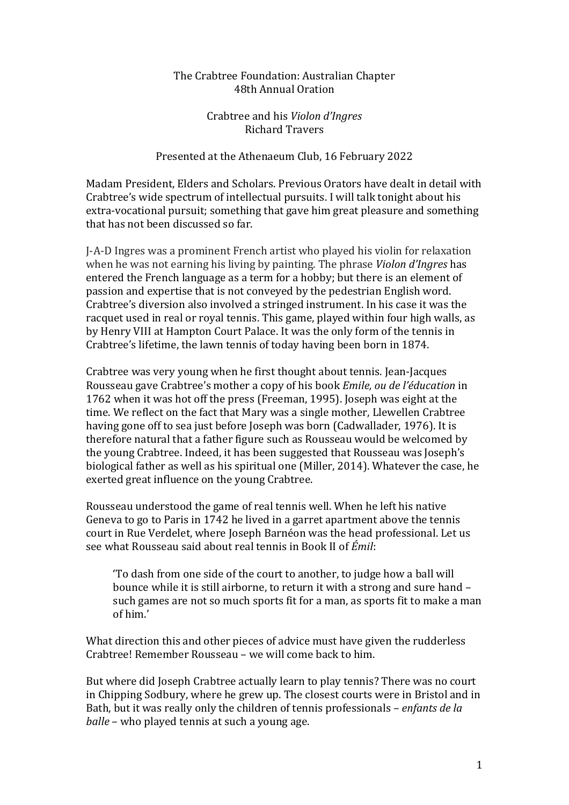## The Crabtree Foundation: Australian Chapter 48th Annual Oration

Crabtree and his *Violon d'Ingres* Richard Travers

## Presented at the Athenaeum Club, 16 February 2022

Madam President, Elders and Scholars. Previous Orators have dealt in detail with Crabtree's wide spectrum of intellectual pursuits. I will talk tonight about his extra-vocational pursuit; something that gave him great pleasure and something that has not been discussed so far.

J-A-D Ingres was a prominent French artist who played his violin for relaxation when he was not earning his living by painting. The phrase *Violon d'Ingres* has entered the French language as a term for a hobby; but there is an element of passion and expertise that is not conveyed by the pedestrian English word. Crabtree's diversion also involved a stringed instrument. In his case it was the racquet used in real or royal tennis. This game, played within four high walls, as by Henry VIII at Hampton Court Palace. It was the only form of the tennis in Crabtree's lifetime, the lawn tennis of today having been born in 1874.

Crabtree was very young when he first thought about tennis. Jean-Jacques Rousseau gave Crabtree's mother a copy of his book *Emile, ou de l'éducation* in 1762 when it was hot off the press (Freeman, 1995). Joseph was eight at the time. We reflect on the fact that Mary was a single mother, Llewellen Crabtree having gone off to sea just before Joseph was born (Cadwallader, 1976). It is therefore natural that a father figure such as Rousseau would be welcomed by the young Crabtree. Indeed, it has been suggested that Rousseau was Joseph's biological father as well as his spiritual one (Miller, 2014). Whatever the case, he exerted great influence on the young Crabtree.

Rousseau understood the game of real tennis well. When he left his native Geneva to go to Paris in 1742 he lived in a garret apartment above the tennis court in Rue Verdelet, where Joseph Barnéon was the head professional. Let us see what Rousseau said about real tennis in Book II of *Émil*:

'To dash from one side of the court to another, to judge how a ball will bounce while it is still airborne, to return it with a strong and sure hand – such games are not so much sports fit for a man, as sports fit to make a man of him.'

What direction this and other pieces of advice must have given the rudderless Crabtree! Remember Rousseau – we will come back to him.

But where did Joseph Crabtree actually learn to play tennis? There was no court in Chipping Sodbury, where he grew up. The closest courts were in Bristol and in Bath, but it was really only the children of tennis professionals – *enfants de la balle* – who played tennis at such a young age.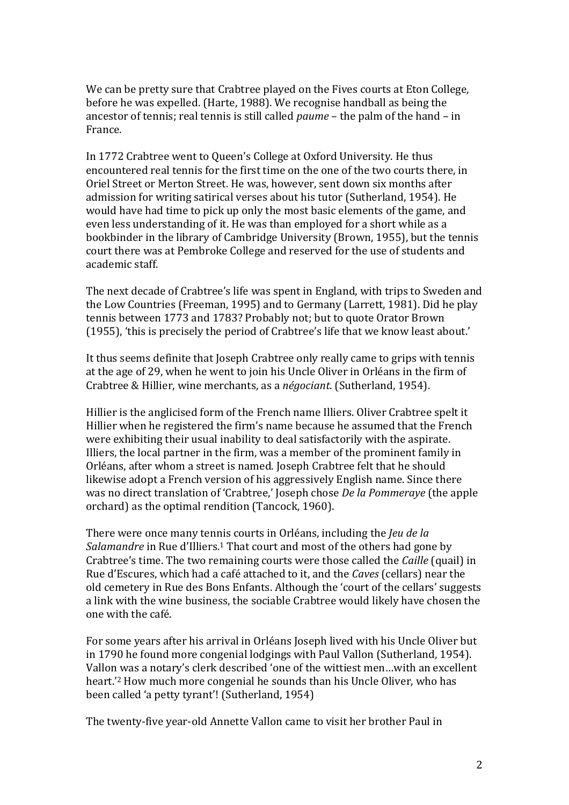We can be pretty sure that Crabtree played on the Fives courts at Eton College, before he was expelled. (Harte, 1988). We recognise handball as being the ancestor of tennis; real tennis is still called *paume* – the palm of the hand – in France.

In 1772 Crabtree went to Queen's College at Oxford University. He thus encountered real tennis for the first time on the one of the two courts there, in Oriel Street or Merton Street. He was, however, sent down six months after admission for writing satirical verses about his tutor (Sutherland, 1954). He would have had time to pick up only the most basic elements of the game, and even less understanding of it. He was than employed for a short while as a bookbinder in the library of Cambridge University (Brown, 1955), but the tennis court there was at Pembroke College and reserved for the use of students and academic staff.

The next decade of Crabtree's life was spent in England, with trips to Sweden and the Low Countries (Freeman, 1995) and to Germany (Larrett, 1981). Did he play tennis between 1773 and 1783? Probably not; but to quote Orator Brown (1955), 'this is precisely the period of Crabtree's life that we know least about.'

It thus seems definite that Joseph Crabtree only really came to grips with tennis at the age of 29, when he went to join his Uncle Oliver in Orléans in the firm of Crabtree & Hillier, wine merchants, as a *négociant*. (Sutherland, 1954).

Hillier is the anglicised form of the French name Illiers. Oliver Crabtree spelt it Hillier when he registered the firm's name because he assumed that the French were exhibiting their usual inability to deal satisfactorily with the aspirate. Illiers, the local partner in the firm, was a member of the prominent family in Orléans, after whom a street is named. Joseph Crabtree felt that he should likewise adopt a French version of his aggressively English name. Since there was no direct translation of 'Crabtree,' Joseph chose *De la Pommeraye* (the apple orchard) as the optimal rendition (Tancock, 1960).

There were once many tennis courts in Orléans, including the *Jeu de la*  Salamandre in Rue d'Illiers.<sup>1</sup> That court and most of the others had gone by Crabtree's time. The two remaining courts were those called the *Caille* (quail) in Rue d'Escures, which had a café attached to it, and the *Caves* (cellars) near the old cemetery in Rue des Bons Enfants. Although the 'court of the cellars' suggests a link with the wine business, the sociable Crabtree would likely have chosen the one with the café.

For some years after his arrival in Orléans Joseph lived with his Uncle Oliver but in 1790 he found more congenial lodgings with Paul Vallon (Sutherland, 1954). Vallon was a notary's clerk described 'one of the wittiest men…with an excellent heart.'<sup>2</sup> How much more congenial he sounds than his Uncle Oliver, who has been called 'a petty tyrant'! (Sutherland, 1954)

The twenty-five year-old Annette Vallon came to visit her brother Paul in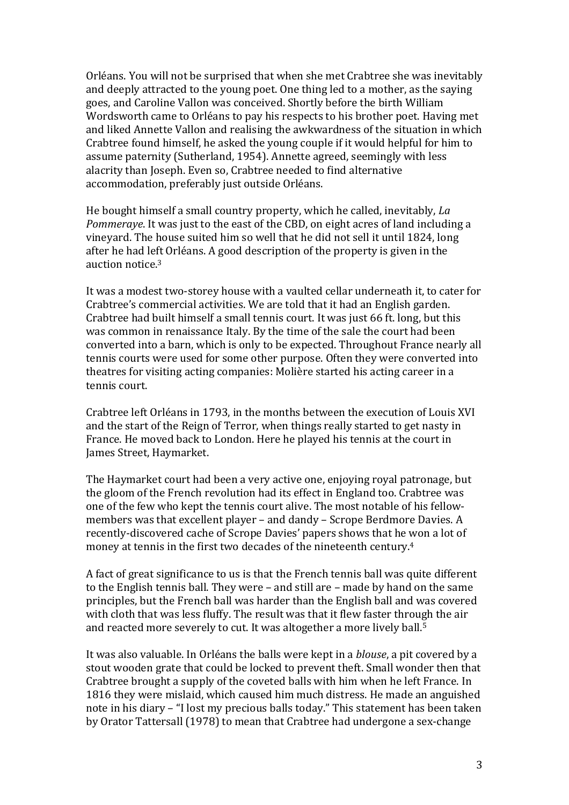Orléans. You will not be surprised that when she met Crabtree she was inevitably and deeply attracted to the young poet. One thing led to a mother, as the saying goes, and Caroline Vallon was conceived. Shortly before the birth William Wordsworth came to Orléans to pay his respects to his brother poet. Having met and liked Annette Vallon and realising the awkwardness of the situation in which Crabtree found himself, he asked the young couple if it would helpful for him to assume paternity (Sutherland, 1954). Annette agreed, seemingly with less alacrity than Joseph. Even so, Crabtree needed to find alternative accommodation, preferably just outside Orléans.

He bought himself a small country property, which he called, inevitably, *La Pommeraye*. It was just to the east of the CBD, on eight acres of land including a vineyard. The house suited him so well that he did not sell it until 1824, long after he had left Orléans. A good description of the property is given in the auction notice.<sup>3</sup>

It was a modest two-storey house with a vaulted cellar underneath it, to cater for Crabtree's commercial activities. We are told that it had an English garden. Crabtree had built himself a small tennis court. It was just 66 ft. long, but this was common in renaissance Italy. By the time of the sale the court had been converted into a barn, which is only to be expected. Throughout France nearly all tennis courts were used for some other purpose. Often they were converted into theatres for visiting acting companies: Molière started his acting career in a tennis court.

Crabtree left Orléans in 1793, in the months between the execution of Louis XVI and the start of the Reign of Terror, when things really started to get nasty in France. He moved back to London. Here he played his tennis at the court in James Street, Haymarket.

The Haymarket court had been a very active one, enjoying royal patronage, but the gloom of the French revolution had its effect in England too. Crabtree was one of the few who kept the tennis court alive. The most notable of his fellowmembers was that excellent player – and dandy – Scrope Berdmore Davies. A recently-discovered cache of Scrope Davies' papers shows that he won a lot of money at tennis in the first two decades of the nineteenth century. 4

A fact of great significance to us is that the French tennis ball was quite different to the English tennis ball. They were – and still are – made by hand on the same principles, but the French ball was harder than the English ball and was covered with cloth that was less fluffy. The result was that it flew faster through the air and reacted more severely to cut. It was altogether a more lively ball. 5

It was also valuable. In Orléans the balls were kept in a *blouse*, a pit covered by a stout wooden grate that could be locked to prevent theft. Small wonder then that Crabtree brought a supply of the coveted balls with him when he left France. In 1816 they were mislaid, which caused him much distress. He made an anguished note in his diary – "I lost my precious balls today." This statement has been taken by Orator Tattersall (1978) to mean that Crabtree had undergone a sex-change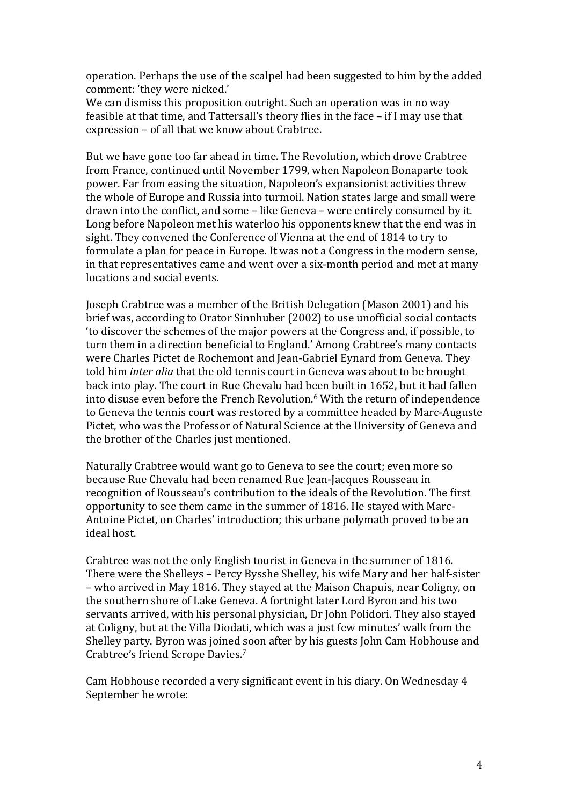operation. Perhaps the use of the scalpel had been suggested to him by the added comment: 'they were nicked.'

We can dismiss this proposition outright. Such an operation was in no way feasible at that time, and Tattersall's theory flies in the face – if I may use that expression – of all that we know about Crabtree.

But we have gone too far ahead in time. The Revolution, which drove Crabtree from France, continued until November 1799, when Napoleon Bonaparte took power. Far from easing the situation, Napoleon's expansionist activities threw the whole of Europe and Russia into turmoil. Nation states large and small were drawn into the conflict, and some – like Geneva – were entirely consumed by it. Long before Napoleon met his waterloo his opponents knew that the end was in sight. They convened the Conference of Vienna at the end of 1814 to try to formulate a plan for peace in Europe. It was not a Congress in the modern sense, in that representatives came and went over a six-month period and met at many locations and social events.

Joseph Crabtree was a member of the British Delegation (Mason 2001) and his brief was, according to Orator Sinnhuber (2002) to use unofficial social contacts 'to discover the schemes of the major powers at the Congress and, if possible, to turn them in a direction beneficial to England.' Among Crabtree's many contacts were Charles Pictet de Rochemont and Jean-Gabriel Eynard from Geneva. They told him *inter alia* that the old tennis court in Geneva was about to be brought back into play. The court in Rue Chevalu had been built in 1652, but it had fallen into disuse even before the French Revolution. <sup>6</sup> With the return of independence to Geneva the tennis court was restored by a committee headed by Marc-Auguste Pictet, who was the Professor of Natural Science at the University of Geneva and the brother of the Charles just mentioned.

Naturally Crabtree would want go to Geneva to see the court; even more so because Rue Chevalu had been renamed Rue Jean-Jacques Rousseau in recognition of Rousseau's contribution to the ideals of the Revolution. The first opportunity to see them came in the summer of 1816. He stayed with Marc-Antoine Pictet, on Charles' introduction; this urbane polymath proved to be an ideal host.

Crabtree was not the only English tourist in Geneva in the summer of 1816. There were the Shelleys – Percy Bysshe Shelley, his wife Mary and her half-sister – who arrived in May 1816. They stayed at the Maison Chapuis, near Coligny, on the southern shore of Lake Geneva. A fortnight later Lord Byron and his two servants arrived, with his personal physician, Dr John Polidori. They also stayed at Coligny, but at the Villa Diodati, which was a just few minutes' walk from the Shelley party. Byron was joined soon after by his guests John Cam Hobhouse and Crabtree's friend Scrope Davies. 7

Cam Hobhouse recorded a very significant event in his diary. On Wednesday 4 September he wrote: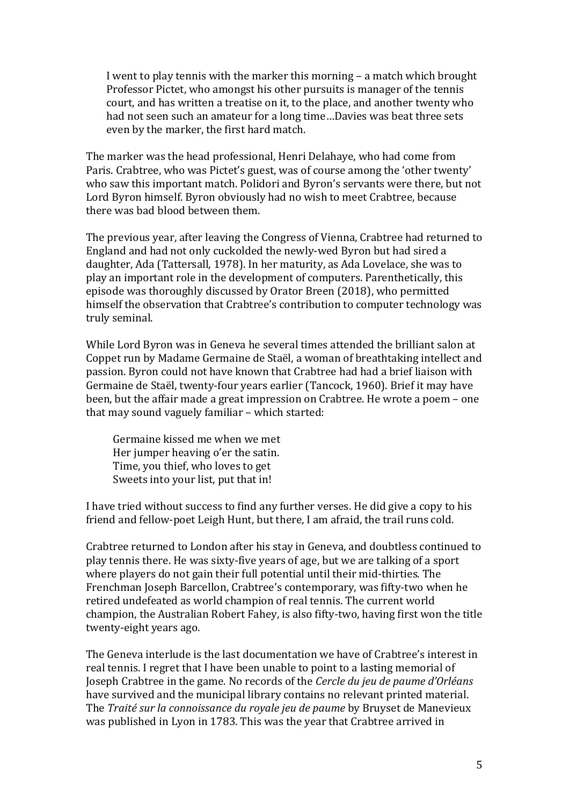I went to play tennis with the marker this morning – a match which brought Professor Pictet, who amongst his other pursuits is manager of the tennis court, and has written a treatise on it, to the place, and another twenty who had not seen such an amateur for a long time…Davies was beat three sets even by the marker, the first hard match.

The marker was the head professional, Henri Delahaye, who had come from Paris. Crabtree, who was Pictet's guest, was of course among the 'other twenty' who saw this important match. Polidori and Byron's servants were there, but not Lord Byron himself. Byron obviously had no wish to meet Crabtree, because there was bad blood between them.

The previous year, after leaving the Congress of Vienna, Crabtree had returned to England and had not only cuckolded the newly-wed Byron but had sired a daughter, Ada (Tattersall, 1978). In her maturity, as Ada Lovelace, she was to play an important role in the development of computers. Parenthetically, this episode was thoroughly discussed by Orator Breen (2018), who permitted himself the observation that Crabtree's contribution to computer technology was truly seminal.

While Lord Byron was in Geneva he several times attended the brilliant salon at Coppet run by Madame Germaine de Staël, a woman of breathtaking intellect and passion. Byron could not have known that Crabtree had had a brief liaison with Germaine de Staël, twenty-four years earlier (Tancock, 1960). Brief it may have been, but the affair made a great impression on Crabtree. He wrote a poem – one that may sound vaguely familiar – which started:

Germaine kissed me when we met Her jumper heaving o'er the satin. Time, you thief, who loves to get Sweets into your list, put that in!

I have tried without success to find any further verses. He did give a copy to his friend and fellow-poet Leigh Hunt, but there, I am afraid, the trail runs cold.

Crabtree returned to London after his stay in Geneva, and doubtless continued to play tennis there. He was sixty-five years of age, but we are talking of a sport where players do not gain their full potential until their mid-thirties. The Frenchman Joseph Barcellon, Crabtree's contemporary, was fifty-two when he retired undefeated as world champion of real tennis. The current world champion, the Australian Robert Fahey, is also fifty-two, having first won the title twenty-eight years ago.

The Geneva interlude is the last documentation we have of Crabtree's interest in real tennis. I regret that I have been unable to point to a lasting memorial of Joseph Crabtree in the game. No records of the *Cercle du jeu de paume d'Orléans* have survived and the municipal library contains no relevant printed material. The *Traité sur la connoissance du royale jeu de paume* by Bruyset de Manevieux was published in Lyon in 1783. This was the year that Crabtree arrived in